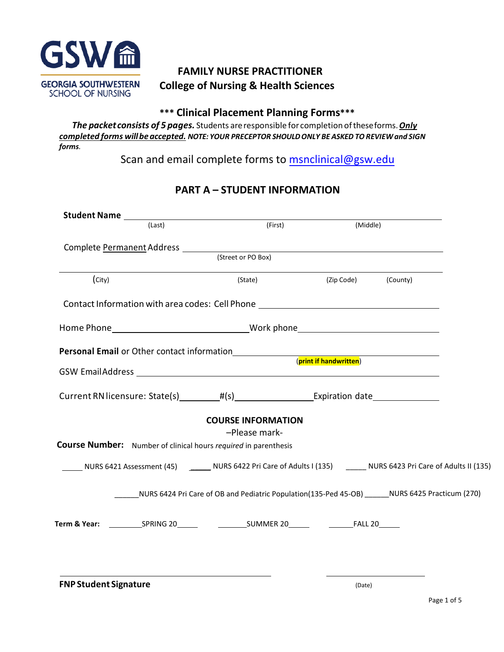

# **FAMILY NURSE PRACTITIONER College of Nursing & Health Sciences**

## **\*\*\* Clinical Placement Planning Forms\*\*\***

*The packet consists of 5 pages.* Students areresponsible for completion oftheseforms.*Only completed forms willbeaccepted. NOTE: YOUR PRECEPTOR SHOULDONLY BE ASKED TOREVIEWand SIGN forms.* 

Scan and email complete forms to [msnclinical](mailto:rebecca.smith@gsw.edu)@gsw.edu

|                              | <b>Student Name</b> (Last) | (First)                                                                          | (Middle)            |                                                                                                                      |
|------------------------------|----------------------------|----------------------------------------------------------------------------------|---------------------|----------------------------------------------------------------------------------------------------------------------|
|                              |                            |                                                                                  |                     |                                                                                                                      |
|                              |                            | (Street or PO Box)                                                               |                     |                                                                                                                      |
| (city)                       |                            | (State)                                                                          | (Zip Code) (County) |                                                                                                                      |
|                              |                            | Contact Information with area codes: Cell Phone ________________________________ |                     |                                                                                                                      |
|                              |                            |                                                                                  |                     |                                                                                                                      |
|                              |                            | Personal Email or Other contact information<br>(print if handwritten)            |                     |                                                                                                                      |
|                              |                            |                                                                                  |                     |                                                                                                                      |
|                              |                            |                                                                                  |                     |                                                                                                                      |
|                              |                            | <b>COURSE INFORMATION</b><br>-Please mark-                                       |                     |                                                                                                                      |
|                              |                            | <b>Course Number:</b> Number of clinical hours required in parenthesis           |                     |                                                                                                                      |
|                              |                            |                                                                                  |                     | NURS 6421 Assessment (45) _______ NURS 6422 Pri Care of Adults I (135) _______ NURS 6423 Pri Care of Adults II (135) |
|                              |                            |                                                                                  |                     | _____NURS 6424 Pri Care of OB and Pediatric Population(135-Ped 45-OB) ______NURS 6425 Practicum (270)                |
|                              |                            |                                                                                  |                     |                                                                                                                      |
|                              |                            |                                                                                  |                     |                                                                                                                      |
|                              |                            |                                                                                  |                     |                                                                                                                      |
| <b>FNP Student Signature</b> |                            |                                                                                  | (Date)              |                                                                                                                      |

# **PART A – STUDENT INFORMATION**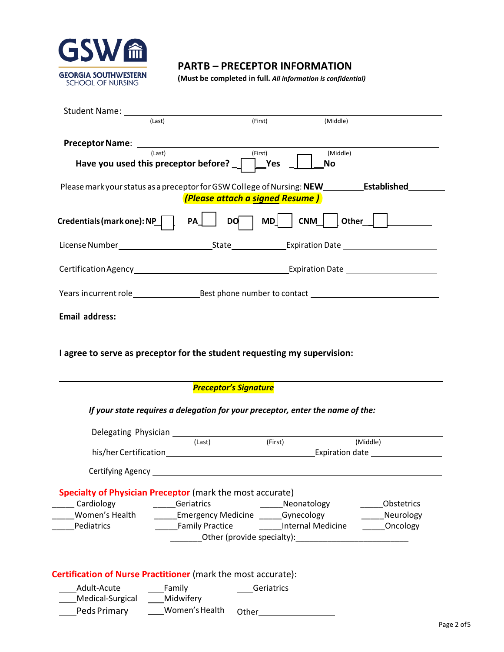

Medical-Surgical \_\_\_ Midwifery

PedsPrimary Women'sHealth Other

## **PARTB – PRECEPTOR INFORMATION**

**(Must be completed in full.** *All information is confidential)*

| (Last)                                                                                           |                                 |                          |                                                                                                                       |
|--------------------------------------------------------------------------------------------------|---------------------------------|--------------------------|-----------------------------------------------------------------------------------------------------------------------|
|                                                                                                  | (First)                         | (Middle)                 |                                                                                                                       |
| <b>Preceptor Name:</b>                                                                           |                                 |                          |                                                                                                                       |
| (Last)                                                                                           | –<br>(First)                    | (Middle)                 |                                                                                                                       |
| Have you used this preceptor before? $\Box$ $\Box$ Yes                                           |                                 | No                       |                                                                                                                       |
| Please mark your status as a preceptor for GSW College of Nursing: NEW____________Established___ |                                 |                          |                                                                                                                       |
|                                                                                                  | (Please attach a signed Resume) |                          |                                                                                                                       |
| Credentials (mark one): NP                                                                       | <b>DO</b><br><b>PA</b>          |                          | MD   CNM   0ther                                                                                                      |
|                                                                                                  |                                 |                          |                                                                                                                       |
|                                                                                                  |                                 |                          |                                                                                                                       |
|                                                                                                  |                                 |                          |                                                                                                                       |
|                                                                                                  |                                 |                          |                                                                                                                       |
|                                                                                                  |                                 |                          |                                                                                                                       |
|                                                                                                  | <b>Preceptor's Signature</b>    |                          |                                                                                                                       |
|                                                                                                  |                                 |                          |                                                                                                                       |
| If your state requires a delegation for your preceptor, enter the name of the:                   |                                 |                          |                                                                                                                       |
|                                                                                                  |                                 |                          |                                                                                                                       |
|                                                                                                  | (Last)                          | (First)                  | (Middle)                                                                                                              |
|                                                                                                  |                                 |                          |                                                                                                                       |
| Certifying Agency                                                                                |                                 |                          |                                                                                                                       |
|                                                                                                  |                                 |                          |                                                                                                                       |
| Cardiology                                                                                       | Geriatrics                      | Neonatology              | Obstetrics                                                                                                            |
| Women's Health                                                                                   | Emergency Medicine Gynecology   |                          | Neurology                                                                                                             |
| Pediatrics                                                                                       | <b>Family Practice</b>          | <b>Internal Medicine</b> | Oncology                                                                                                              |
| Specialty of Physician Preceptor (mark the most accurate)                                        | Other (provide specialty):      |                          | <u> 2000 - Jan Bernard Bernard Bernard Bernard Bernard Bernard Bernard Bernard Bernard Bernard Bernard Bernard Be</u> |
|                                                                                                  |                                 |                          |                                                                                                                       |
| Certification of Nurse Practitioner (mark the most accurate):                                    |                                 |                          |                                                                                                                       |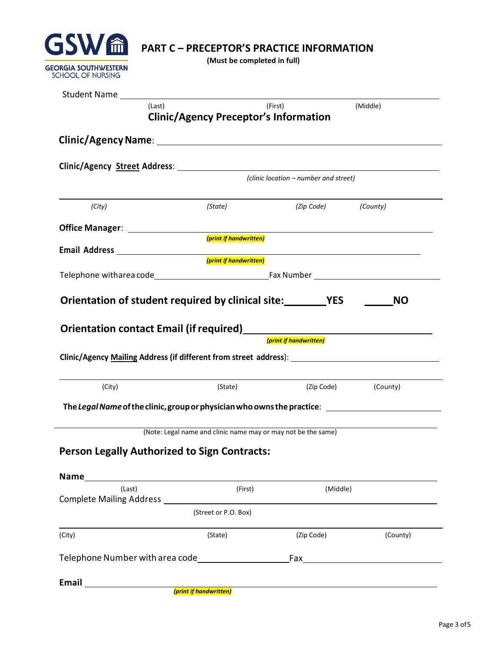

**(Must be completed in full)**

|                                                                                                     |            | (Middle)                                                                                                                                                                                                                                                                                  |
|-----------------------------------------------------------------------------------------------------|------------|-------------------------------------------------------------------------------------------------------------------------------------------------------------------------------------------------------------------------------------------------------------------------------------------|
|                                                                                                     |            |                                                                                                                                                                                                                                                                                           |
|                                                                                                     |            |                                                                                                                                                                                                                                                                                           |
|                                                                                                     |            |                                                                                                                                                                                                                                                                                           |
|                                                                                                     |            |                                                                                                                                                                                                                                                                                           |
|                                                                                                     |            |                                                                                                                                                                                                                                                                                           |
| (State)                                                                                             |            |                                                                                                                                                                                                                                                                                           |
|                                                                                                     |            |                                                                                                                                                                                                                                                                                           |
| (print if handwritten)                                                                              |            |                                                                                                                                                                                                                                                                                           |
| (print if handwritten)                                                                              |            |                                                                                                                                                                                                                                                                                           |
|                                                                                                     |            |                                                                                                                                                                                                                                                                                           |
|                                                                                                     |            |                                                                                                                                                                                                                                                                                           |
|                                                                                                     |            |                                                                                                                                                                                                                                                                                           |
| (State)                                                                                             |            | (Zip Code) (County)                                                                                                                                                                                                                                                                       |
| The Legal Name of the clinic, group or physician who owns the practice: ___________________________ |            |                                                                                                                                                                                                                                                                                           |
|                                                                                                     |            |                                                                                                                                                                                                                                                                                           |
| (Note: Legal name and clinic name may or may not be the same)                                       |            |                                                                                                                                                                                                                                                                                           |
| <b>Person Legally Authorized to Sign Contracts:</b>                                                 |            |                                                                                                                                                                                                                                                                                           |
|                                                                                                     |            |                                                                                                                                                                                                                                                                                           |
| (First)                                                                                             | (Middle)   |                                                                                                                                                                                                                                                                                           |
| <b>Complete Mailing Address Complete Mailing Address</b><br>(Street or P.O. Box)                    |            |                                                                                                                                                                                                                                                                                           |
|                                                                                                     |            |                                                                                                                                                                                                                                                                                           |
| (State)                                                                                             | (Zip Code) | (County)                                                                                                                                                                                                                                                                                  |
| Telephone Number with area code Telephone Number                                                    |            |                                                                                                                                                                                                                                                                                           |
|                                                                                                     |            | (First)<br><b>Clinic/Agency Preceptor's Information</b><br>(clinic location – number and street)<br>(Zip Code) (County)<br>Orientation of student required by clinical site: YES<br>Orientation contact Email (if required)<br><u>Discuss Contact Constants</u><br>(print if handwritten) |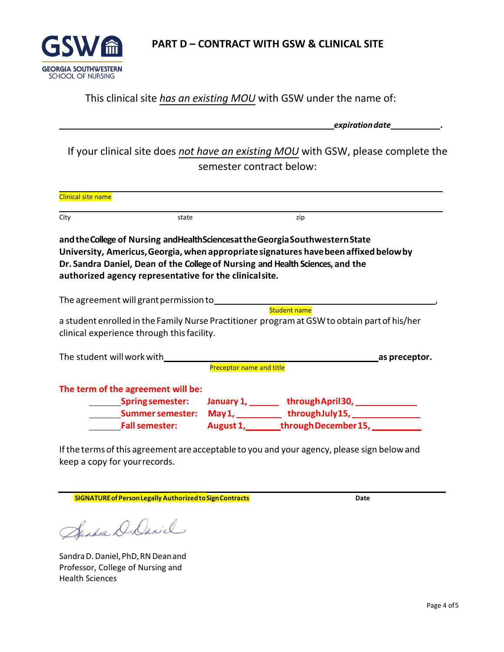

**PART D – CONTRACT WITH GSW & CLINICAL SITE**

## This clinical site *has an existing MOU* with GSW under the name of:

|                           |                                                        |                                 |                                                                                                                                                                                                                                                              | expiration date_____________. |
|---------------------------|--------------------------------------------------------|---------------------------------|--------------------------------------------------------------------------------------------------------------------------------------------------------------------------------------------------------------------------------------------------------------|-------------------------------|
|                           |                                                        | semester contract below:        | If your clinical site does not have an existing MOU with GSW, please complete the                                                                                                                                                                            |                               |
| <b>Clinical site name</b> |                                                        |                                 |                                                                                                                                                                                                                                                              |                               |
| City                      | state                                                  |                                 | zip                                                                                                                                                                                                                                                          |                               |
|                           | authorized agency representative for the clinicalsite. |                                 | and the College of Nursing and Health Sciences at the Georgia South western State<br>University, Americus, Georgia, when appropriate signatures have been affixed below by<br>Dr. Sandra Daniel, Dean of the College of Nursing and Health Sciences, and the |                               |
|                           |                                                        |                                 | <b>Student name</b>                                                                                                                                                                                                                                          |                               |
|                           |                                                        |                                 | a student enrolled in the Family Nurse Practitioner program at GSW to obtain part of his/her                                                                                                                                                                 |                               |
|                           | clinical experience through this facility.             |                                 |                                                                                                                                                                                                                                                              |                               |
|                           | The student will work with__________                   |                                 | as preceptor.                                                                                                                                                                                                                                                |                               |
|                           |                                                        | <b>Preceptor name and title</b> |                                                                                                                                                                                                                                                              |                               |
|                           | The term of the agreement will be:                     |                                 |                                                                                                                                                                                                                                                              |                               |
|                           |                                                        |                                 | Spring semester: January 1, http://www.faril30, html Spring semester: January 1, http://www.franch.com/                                                                                                                                                      |                               |
|                           | <b>Summer semester:</b>                                |                                 |                                                                                                                                                                                                                                                              |                               |
|                           | <b>Fall semester:</b>                                  |                                 | August 1,________through December 15, ___________                                                                                                                                                                                                            |                               |

If the terms of this agreement are acceptable to you and your agency, please sign below and keep a copy for yourrecords.

**SIGNATUREof PersonLegally AuthorizedtoSignContracts Date**

Sendra D. David

Sandra D. Daniel, PhD, RN Dean and Professor, College of Nursing and Health Sciences